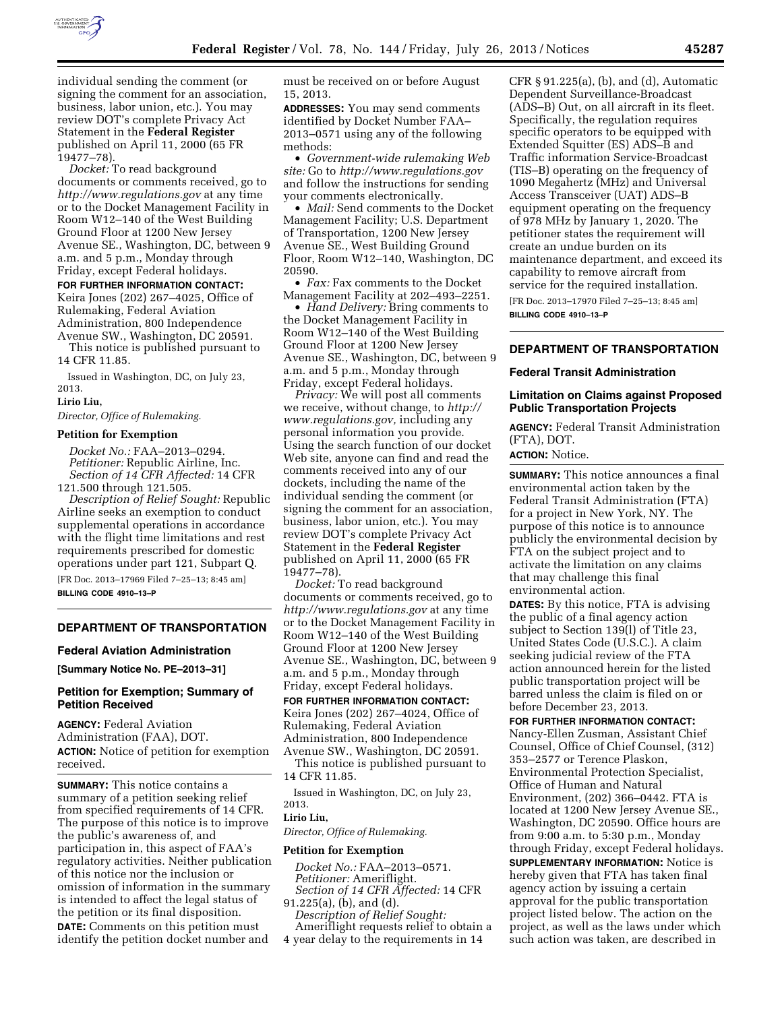

individual sending the comment (or signing the comment for an association, business, labor union, etc.). You may review DOT's complete Privacy Act Statement in the **Federal Register**  published on April 11, 2000 (65 FR 19477–78).

*Docket:* To read background documents or comments received, go to *<http://www.regulations.gov>* at any time or to the Docket Management Facility in Room W12–140 of the West Building Ground Floor at 1200 New Jersey Avenue SE., Washington, DC, between 9 a.m. and 5 p.m., Monday through Friday, except Federal holidays.

#### **FOR FURTHER INFORMATION CONTACT:**

Keira Jones (202) 267–4025, Office of Rulemaking, Federal Aviation Administration, 800 Independence Avenue SW., Washington, DC 20591.

This notice is published pursuant to 14 CFR 11.85.

Issued in Washington, DC, on July 23, 2013.

#### **Lirio Liu,**

*Director, Office of Rulemaking.* 

#### **Petition for Exemption**

*Docket No.:* FAA–2013–0294. *Petitioner:* Republic Airline, Inc. *Section of 14 CFR Affected:* 14 CFR 121.500 through 121.505.

*Description of Relief Sought:* Republic Airline seeks an exemption to conduct supplemental operations in accordance with the flight time limitations and rest requirements prescribed for domestic operations under part 121, Subpart Q.

[FR Doc. 2013–17969 Filed 7–25–13; 8:45 am] **BILLING CODE 4910–13–P** 

## **DEPARTMENT OF TRANSPORTATION**

#### **Federal Aviation Administration**

**[Summary Notice No. PE–2013–31]** 

### **Petition for Exemption; Summary of Petition Received**

**AGENCY:** Federal Aviation Administration (FAA), DOT. **ACTION:** Notice of petition for exemption received.

**SUMMARY:** This notice contains a summary of a petition seeking relief from specified requirements of 14 CFR. The purpose of this notice is to improve the public's awareness of, and participation in, this aspect of FAA's regulatory activities. Neither publication of this notice nor the inclusion or omission of information in the summary is intended to affect the legal status of the petition or its final disposition. **DATE:** Comments on this petition must identify the petition docket number and

must be received on or before August 15, 2013.

**ADDRESSES:** You may send comments identified by Docket Number FAA– 2013–0571 using any of the following methods:

• *Government-wide rulemaking Web site:* Go to *<http://www.regulations.gov>*  and follow the instructions for sending your comments electronically.

• *Mail:* Send comments to the Docket Management Facility; U.S. Department of Transportation, 1200 New Jersey Avenue SE., West Building Ground Floor, Room W12–140, Washington, DC 20590.

• *Fax:* Fax comments to the Docket Management Facility at 202–493–2251.

• *Hand Delivery:* Bring comments to the Docket Management Facility in Room W12–140 of the West Building Ground Floor at 1200 New Jersey Avenue SE., Washington, DC, between 9 a.m. and 5 p.m., Monday through Friday, except Federal holidays.

*Privacy:* We will post all comments we receive, without change, to *[http://](http://www.regulations.gov)  [www.regulations.gov,](http://www.regulations.gov)* including any personal information you provide. Using the search function of our docket Web site, anyone can find and read the comments received into any of our dockets, including the name of the individual sending the comment (or signing the comment for an association, business, labor union, etc.). You may review DOT's complete Privacy Act Statement in the **Federal Register**  published on April 11, 2000 (65 FR 19477–78).

*Docket:* To read background documents or comments received, go to *<http://www.regulations.gov>* at any time or to the Docket Management Facility in Room W12–140 of the West Building Ground Floor at 1200 New Jersey Avenue SE., Washington, DC, between 9 a.m. and 5 p.m., Monday through Friday, except Federal holidays.

**FOR FURTHER INFORMATION CONTACT:**  Keira Jones (202) 267–4024, Office of Rulemaking, Federal Aviation Administration, 800 Independence Avenue SW., Washington, DC 20591.

This notice is published pursuant to 14 CFR 11.85.

Issued in Washington, DC, on July 23, 2013.

# **Lirio Liu,**

*Director, Office of Rulemaking.* 

#### **Petition for Exemption**

*Docket No.:* FAA–2013–0571. *Petitioner:* Ameriflight. *Section of 14 CFR Affected:* 14 CFR

91.225(a), (b), and (d).

*Description of Relief Sought:* 

Ameriflight requests relief to obtain a 4 year delay to the requirements in 14

CFR § 91.225(a), (b), and (d), Automatic Dependent Surveillance-Broadcast (ADS–B) Out, on all aircraft in its fleet. Specifically, the regulation requires specific operators to be equipped with Extended Squitter (ES) ADS–B and Traffic information Service-Broadcast (TIS–B) operating on the frequency of 1090 Megahertz (MHz) and Universal Access Transceiver (UAT) ADS–B equipment operating on the frequency of 978 MHz by January 1, 2020. The petitioner states the requirement will create an undue burden on its maintenance department, and exceed its capability to remove aircraft from service for the required installation.

[FR Doc. 2013–17970 Filed 7–25–13; 8:45 am] **BILLING CODE 4910–13–P** 

### **DEPARTMENT OF TRANSPORTATION**

#### **Federal Transit Administration**

### **Limitation on Claims against Proposed Public Transportation Projects**

**AGENCY:** Federal Transit Administration (FTA), DOT.

# **ACTION:** Notice.

**SUMMARY:** This notice announces a final environmental action taken by the Federal Transit Administration (FTA) for a project in New York, NY. The purpose of this notice is to announce publicly the environmental decision by FTA on the subject project and to activate the limitation on any claims that may challenge this final environmental action.

**DATES:** By this notice, FTA is advising the public of a final agency action subject to Section 139(l) of Title 23, United States Code (U.S.C.). A claim seeking judicial review of the FTA action announced herein for the listed public transportation project will be barred unless the claim is filed on or before December 23, 2013.

#### **FOR FURTHER INFORMATION CONTACT:**

Nancy-Ellen Zusman, Assistant Chief Counsel, Office of Chief Counsel, (312) 353–2577 or Terence Plaskon, Environmental Protection Specialist, Office of Human and Natural Environment, (202) 366–0442. FTA is located at 1200 New Jersey Avenue SE., Washington, DC 20590. Office hours are from 9:00 a.m. to 5:30 p.m., Monday through Friday, except Federal holidays. **SUPPLEMENTARY INFORMATION:** Notice is hereby given that FTA has taken final agency action by issuing a certain approval for the public transportation project listed below. The action on the project, as well as the laws under which such action was taken, are described in